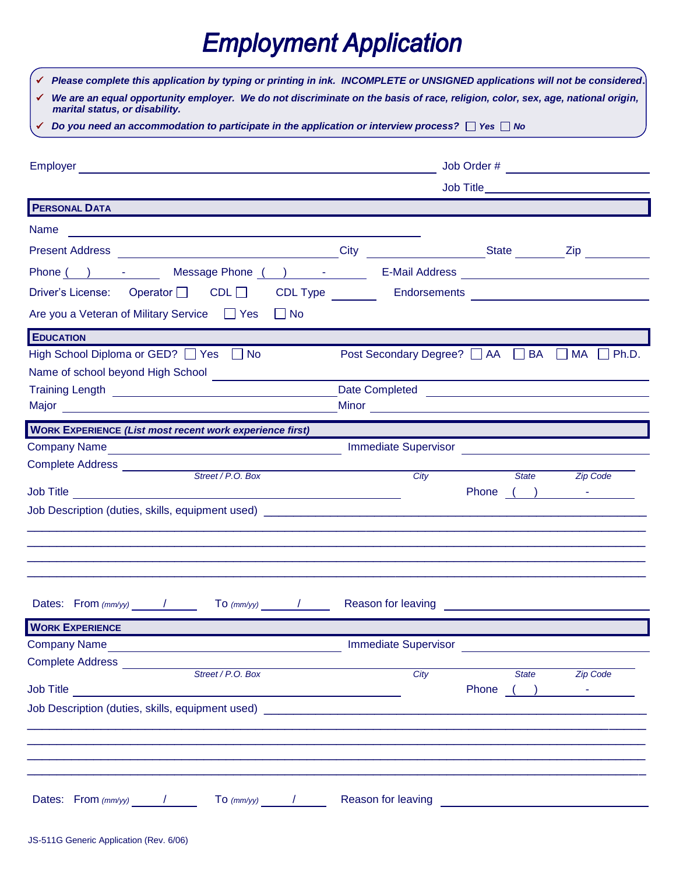## **Employment Application**

| We are an equal opportunity employer. We do not discriminate on the basis of race, religion, color, sex, age, national origin,<br>marital status, or disability.<br>Do you need an accommodation to participate in the application or interview process? $\Box$ Yes $\Box$ No<br><b>PERSONAL DATA</b><br>Name<br><u> 1989 - Andrea State Barbara, amerikan personal di sebagai personal di sebagai personal di sebagai personal d</u><br>Present Address <b>Manual Address Contract Address</b><br>Phone ( ) - Message Phone ( ) -<br>E-Mail Address <b>Communication Communication Communication Communication Communication</b><br>Driver's License: Operator CDL CDL<br>CDL Type<br>$\Box$ No<br><b>EDUCATION</b><br>Post Secondary Degree? AA BA AM AD Ph.D.<br>Name of school beyond High School <b>Name of School</b><br>Date Completed <b>Date Completed</b><br>Training Length Land Andrew March 2004<br><b>WORK EXPERIENCE (List most recent work experience first)</b><br><b>Immediate Supervisor</b><br>City<br><b>State</b><br><b>Zip Code</b><br>Job Title<br>Dates: From $\langle m m / y y \rangle$ / To $\langle m m / y y \rangle$ /<br>Complete Address ___________<br>the control of the control of the control of the control of<br>Street / P.O. Box<br>City<br><b>State</b><br><b>Zip Code</b><br>Dates: From $\langle mm/yy \rangle$ / To $\langle mm/yy \rangle$ / | Please complete this application by typing or printing in ink. INCOMPLETE or UNSIGNED applications will not be considered. |  |  |  |  |  |  |  |
|--------------------------------------------------------------------------------------------------------------------------------------------------------------------------------------------------------------------------------------------------------------------------------------------------------------------------------------------------------------------------------------------------------------------------------------------------------------------------------------------------------------------------------------------------------------------------------------------------------------------------------------------------------------------------------------------------------------------------------------------------------------------------------------------------------------------------------------------------------------------------------------------------------------------------------------------------------------------------------------------------------------------------------------------------------------------------------------------------------------------------------------------------------------------------------------------------------------------------------------------------------------------------------------------------------------------------------------------------------------------------------------------|----------------------------------------------------------------------------------------------------------------------------|--|--|--|--|--|--|--|
|                                                                                                                                                                                                                                                                                                                                                                                                                                                                                                                                                                                                                                                                                                                                                                                                                                                                                                                                                                                                                                                                                                                                                                                                                                                                                                                                                                                            |                                                                                                                            |  |  |  |  |  |  |  |
|                                                                                                                                                                                                                                                                                                                                                                                                                                                                                                                                                                                                                                                                                                                                                                                                                                                                                                                                                                                                                                                                                                                                                                                                                                                                                                                                                                                            |                                                                                                                            |  |  |  |  |  |  |  |
|                                                                                                                                                                                                                                                                                                                                                                                                                                                                                                                                                                                                                                                                                                                                                                                                                                                                                                                                                                                                                                                                                                                                                                                                                                                                                                                                                                                            |                                                                                                                            |  |  |  |  |  |  |  |
|                                                                                                                                                                                                                                                                                                                                                                                                                                                                                                                                                                                                                                                                                                                                                                                                                                                                                                                                                                                                                                                                                                                                                                                                                                                                                                                                                                                            |                                                                                                                            |  |  |  |  |  |  |  |
|                                                                                                                                                                                                                                                                                                                                                                                                                                                                                                                                                                                                                                                                                                                                                                                                                                                                                                                                                                                                                                                                                                                                                                                                                                                                                                                                                                                            |                                                                                                                            |  |  |  |  |  |  |  |
|                                                                                                                                                                                                                                                                                                                                                                                                                                                                                                                                                                                                                                                                                                                                                                                                                                                                                                                                                                                                                                                                                                                                                                                                                                                                                                                                                                                            |                                                                                                                            |  |  |  |  |  |  |  |
|                                                                                                                                                                                                                                                                                                                                                                                                                                                                                                                                                                                                                                                                                                                                                                                                                                                                                                                                                                                                                                                                                                                                                                                                                                                                                                                                                                                            |                                                                                                                            |  |  |  |  |  |  |  |
|                                                                                                                                                                                                                                                                                                                                                                                                                                                                                                                                                                                                                                                                                                                                                                                                                                                                                                                                                                                                                                                                                                                                                                                                                                                                                                                                                                                            |                                                                                                                            |  |  |  |  |  |  |  |
|                                                                                                                                                                                                                                                                                                                                                                                                                                                                                                                                                                                                                                                                                                                                                                                                                                                                                                                                                                                                                                                                                                                                                                                                                                                                                                                                                                                            |                                                                                                                            |  |  |  |  |  |  |  |
|                                                                                                                                                                                                                                                                                                                                                                                                                                                                                                                                                                                                                                                                                                                                                                                                                                                                                                                                                                                                                                                                                                                                                                                                                                                                                                                                                                                            |                                                                                                                            |  |  |  |  |  |  |  |
|                                                                                                                                                                                                                                                                                                                                                                                                                                                                                                                                                                                                                                                                                                                                                                                                                                                                                                                                                                                                                                                                                                                                                                                                                                                                                                                                                                                            |                                                                                                                            |  |  |  |  |  |  |  |
|                                                                                                                                                                                                                                                                                                                                                                                                                                                                                                                                                                                                                                                                                                                                                                                                                                                                                                                                                                                                                                                                                                                                                                                                                                                                                                                                                                                            | Are you a Veteran of Military Service Service                                                                              |  |  |  |  |  |  |  |
|                                                                                                                                                                                                                                                                                                                                                                                                                                                                                                                                                                                                                                                                                                                                                                                                                                                                                                                                                                                                                                                                                                                                                                                                                                                                                                                                                                                            |                                                                                                                            |  |  |  |  |  |  |  |
|                                                                                                                                                                                                                                                                                                                                                                                                                                                                                                                                                                                                                                                                                                                                                                                                                                                                                                                                                                                                                                                                                                                                                                                                                                                                                                                                                                                            | High School Diploma or GED? □ Yes □ No                                                                                     |  |  |  |  |  |  |  |
|                                                                                                                                                                                                                                                                                                                                                                                                                                                                                                                                                                                                                                                                                                                                                                                                                                                                                                                                                                                                                                                                                                                                                                                                                                                                                                                                                                                            |                                                                                                                            |  |  |  |  |  |  |  |
|                                                                                                                                                                                                                                                                                                                                                                                                                                                                                                                                                                                                                                                                                                                                                                                                                                                                                                                                                                                                                                                                                                                                                                                                                                                                                                                                                                                            |                                                                                                                            |  |  |  |  |  |  |  |
|                                                                                                                                                                                                                                                                                                                                                                                                                                                                                                                                                                                                                                                                                                                                                                                                                                                                                                                                                                                                                                                                                                                                                                                                                                                                                                                                                                                            |                                                                                                                            |  |  |  |  |  |  |  |
|                                                                                                                                                                                                                                                                                                                                                                                                                                                                                                                                                                                                                                                                                                                                                                                                                                                                                                                                                                                                                                                                                                                                                                                                                                                                                                                                                                                            |                                                                                                                            |  |  |  |  |  |  |  |
|                                                                                                                                                                                                                                                                                                                                                                                                                                                                                                                                                                                                                                                                                                                                                                                                                                                                                                                                                                                                                                                                                                                                                                                                                                                                                                                                                                                            |                                                                                                                            |  |  |  |  |  |  |  |
|                                                                                                                                                                                                                                                                                                                                                                                                                                                                                                                                                                                                                                                                                                                                                                                                                                                                                                                                                                                                                                                                                                                                                                                                                                                                                                                                                                                            |                                                                                                                            |  |  |  |  |  |  |  |
|                                                                                                                                                                                                                                                                                                                                                                                                                                                                                                                                                                                                                                                                                                                                                                                                                                                                                                                                                                                                                                                                                                                                                                                                                                                                                                                                                                                            |                                                                                                                            |  |  |  |  |  |  |  |
|                                                                                                                                                                                                                                                                                                                                                                                                                                                                                                                                                                                                                                                                                                                                                                                                                                                                                                                                                                                                                                                                                                                                                                                                                                                                                                                                                                                            |                                                                                                                            |  |  |  |  |  |  |  |
|                                                                                                                                                                                                                                                                                                                                                                                                                                                                                                                                                                                                                                                                                                                                                                                                                                                                                                                                                                                                                                                                                                                                                                                                                                                                                                                                                                                            |                                                                                                                            |  |  |  |  |  |  |  |
|                                                                                                                                                                                                                                                                                                                                                                                                                                                                                                                                                                                                                                                                                                                                                                                                                                                                                                                                                                                                                                                                                                                                                                                                                                                                                                                                                                                            |                                                                                                                            |  |  |  |  |  |  |  |
|                                                                                                                                                                                                                                                                                                                                                                                                                                                                                                                                                                                                                                                                                                                                                                                                                                                                                                                                                                                                                                                                                                                                                                                                                                                                                                                                                                                            |                                                                                                                            |  |  |  |  |  |  |  |
|                                                                                                                                                                                                                                                                                                                                                                                                                                                                                                                                                                                                                                                                                                                                                                                                                                                                                                                                                                                                                                                                                                                                                                                                                                                                                                                                                                                            |                                                                                                                            |  |  |  |  |  |  |  |
|                                                                                                                                                                                                                                                                                                                                                                                                                                                                                                                                                                                                                                                                                                                                                                                                                                                                                                                                                                                                                                                                                                                                                                                                                                                                                                                                                                                            |                                                                                                                            |  |  |  |  |  |  |  |
|                                                                                                                                                                                                                                                                                                                                                                                                                                                                                                                                                                                                                                                                                                                                                                                                                                                                                                                                                                                                                                                                                                                                                                                                                                                                                                                                                                                            | <b>WORK EXPERIENCE</b>                                                                                                     |  |  |  |  |  |  |  |
|                                                                                                                                                                                                                                                                                                                                                                                                                                                                                                                                                                                                                                                                                                                                                                                                                                                                                                                                                                                                                                                                                                                                                                                                                                                                                                                                                                                            |                                                                                                                            |  |  |  |  |  |  |  |
|                                                                                                                                                                                                                                                                                                                                                                                                                                                                                                                                                                                                                                                                                                                                                                                                                                                                                                                                                                                                                                                                                                                                                                                                                                                                                                                                                                                            |                                                                                                                            |  |  |  |  |  |  |  |
|                                                                                                                                                                                                                                                                                                                                                                                                                                                                                                                                                                                                                                                                                                                                                                                                                                                                                                                                                                                                                                                                                                                                                                                                                                                                                                                                                                                            |                                                                                                                            |  |  |  |  |  |  |  |
|                                                                                                                                                                                                                                                                                                                                                                                                                                                                                                                                                                                                                                                                                                                                                                                                                                                                                                                                                                                                                                                                                                                                                                                                                                                                                                                                                                                            |                                                                                                                            |  |  |  |  |  |  |  |
|                                                                                                                                                                                                                                                                                                                                                                                                                                                                                                                                                                                                                                                                                                                                                                                                                                                                                                                                                                                                                                                                                                                                                                                                                                                                                                                                                                                            |                                                                                                                            |  |  |  |  |  |  |  |
|                                                                                                                                                                                                                                                                                                                                                                                                                                                                                                                                                                                                                                                                                                                                                                                                                                                                                                                                                                                                                                                                                                                                                                                                                                                                                                                                                                                            |                                                                                                                            |  |  |  |  |  |  |  |
|                                                                                                                                                                                                                                                                                                                                                                                                                                                                                                                                                                                                                                                                                                                                                                                                                                                                                                                                                                                                                                                                                                                                                                                                                                                                                                                                                                                            |                                                                                                                            |  |  |  |  |  |  |  |
|                                                                                                                                                                                                                                                                                                                                                                                                                                                                                                                                                                                                                                                                                                                                                                                                                                                                                                                                                                                                                                                                                                                                                                                                                                                                                                                                                                                            |                                                                                                                            |  |  |  |  |  |  |  |
|                                                                                                                                                                                                                                                                                                                                                                                                                                                                                                                                                                                                                                                                                                                                                                                                                                                                                                                                                                                                                                                                                                                                                                                                                                                                                                                                                                                            |                                                                                                                            |  |  |  |  |  |  |  |